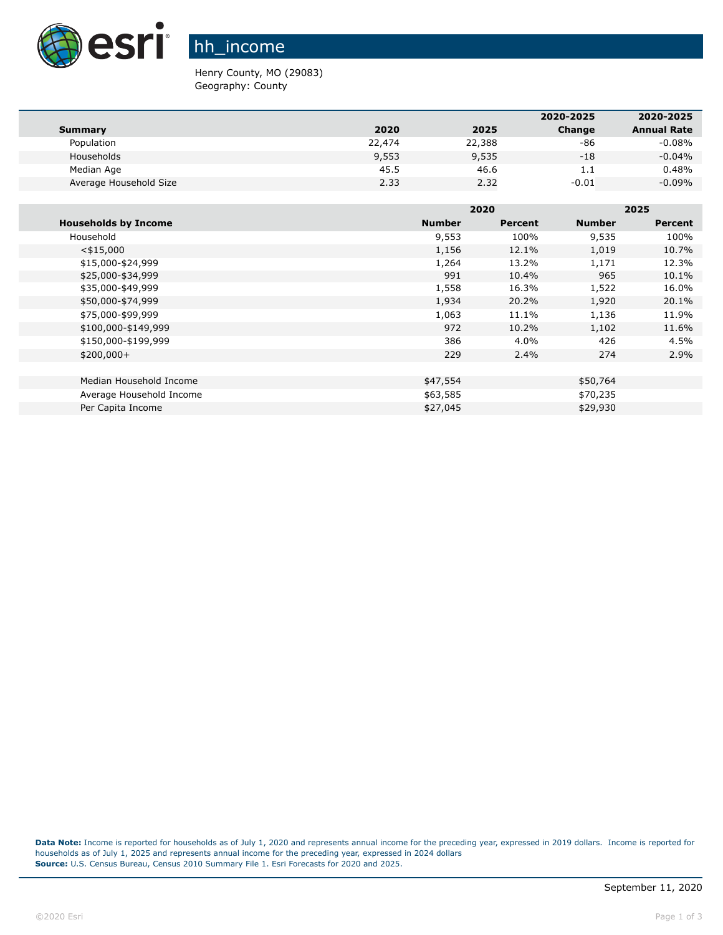

hh\_income

Henry County, MO (29083) Geography: County

|                        |        |        | 2020-2025 | 2020-2025          |
|------------------------|--------|--------|-----------|--------------------|
| Summary                | 2020   | 2025   | Change    | <b>Annual Rate</b> |
| Population             | 22,474 | 22,388 | -86       | $-0.08%$           |
| Households             | 9,553  | 9,535  | $-18$     | $-0.04%$           |
| Median Age             | 45.5   | 46.6   | 1.1       | 0.48%              |
| Average Household Size | 2.33   | 2.32   | $-0.01$   | $-0.09%$           |

|                             |               | 2020           |               | 2025    |  |
|-----------------------------|---------------|----------------|---------------|---------|--|
| <b>Households by Income</b> | <b>Number</b> | <b>Percent</b> | <b>Number</b> | Percent |  |
| Household                   | 9,553         | 100%           | 9,535         | 100%    |  |
| $<$ \$15,000                | 1,156         | 12.1%          | 1,019         | 10.7%   |  |
| \$15,000-\$24,999           | 1,264         | 13.2%          | 1,171         | 12.3%   |  |
| \$25,000-\$34,999           | 991           | 10.4%          | 965           | 10.1%   |  |
| \$35,000-\$49,999           | 1,558         | 16.3%          | 1,522         | 16.0%   |  |
| \$50,000-\$74,999           | 1,934         | 20.2%          | 1,920         | 20.1%   |  |
| \$75,000-\$99,999           | 1,063         | 11.1%          | 1,136         | 11.9%   |  |
| \$100,000-\$149,999         | 972           | 10.2%          | 1,102         | 11.6%   |  |
| \$150,000-\$199,999         | 386           | 4.0%           | 426           | 4.5%    |  |
| $$200,000+$                 | 229           | 2.4%           | 274           | 2.9%    |  |
|                             |               |                |               |         |  |
| Median Household Income     | \$47,554      |                | \$50,764      |         |  |
| Average Household Income    | \$63,585      |                | \$70,235      |         |  |
| Per Capita Income           | \$27,045      |                | \$29,930      |         |  |

**Data Note:** Income is reported for households as of July 1, 2020 and represents annual income for the preceding year, expressed in 2019 dollars. Income is reported for households as of July 1, 2025 and represents annual income for the preceding year, expressed in 2024 dollars **Source:** U.S. Census Bureau, Census 2010 Summary File 1. Esri Forecasts for 2020 and 2025.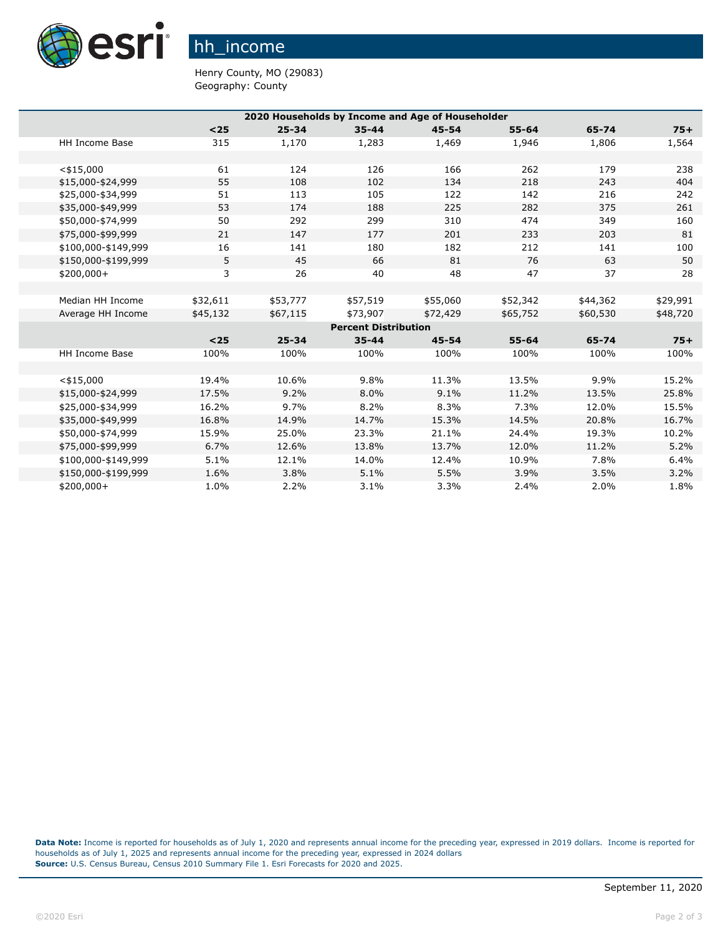

hh\_income

Henry County, MO (29083) Geography: County

| 2020 Households by Income and Age of Householder |          |           |                             |           |           |          |          |
|--------------------------------------------------|----------|-----------|-----------------------------|-----------|-----------|----------|----------|
|                                                  | $25$     | $25 - 34$ | $35 - 44$                   | $45 - 54$ | $55 - 64$ | 65-74    | $75+$    |
| <b>HH Income Base</b>                            | 315      | 1,170     | 1,283                       | 1,469     | 1,946     | 1,806    | 1,564    |
|                                                  |          |           |                             |           |           |          |          |
| $<$ \$15,000                                     | 61       | 124       | 126                         | 166       | 262       | 179      | 238      |
| \$15,000-\$24,999                                | 55       | 108       | 102                         | 134       | 218       | 243      | 404      |
| \$25,000-\$34,999                                | 51       | 113       | 105                         | 122       | 142       | 216      | 242      |
| \$35,000-\$49,999                                | 53       | 174       | 188                         | 225       | 282       | 375      | 261      |
| \$50,000-\$74,999                                | 50       | 292       | 299                         | 310       | 474       | 349      | 160      |
| \$75,000-\$99,999                                | 21       | 147       | 177                         | 201       | 233       | 203      | 81       |
| \$100,000-\$149,999                              | 16       | 141       | 180                         | 182       | 212       | 141      | 100      |
| \$150,000-\$199,999                              | 5        | 45        | 66                          | 81        | 76        | 63       | 50       |
| $$200,000+$                                      | 3        | 26        | 40                          | 48        | 47        | 37       | 28       |
|                                                  |          |           |                             |           |           |          |          |
| Median HH Income                                 | \$32,611 | \$53,777  | \$57,519                    | \$55,060  | \$52,342  | \$44,362 | \$29,991 |
| Average HH Income                                | \$45,132 | \$67,115  | \$73,907                    | \$72,429  | \$65,752  | \$60,530 | \$48,720 |
|                                                  |          |           | <b>Percent Distribution</b> |           |           |          |          |
|                                                  | $25$     | $25 - 34$ | $35 - 44$                   | $45 - 54$ | $55 - 64$ | 65-74    | $75+$    |
| <b>HH Income Base</b>                            | 100%     | 100%      | 100%                        | 100%      | 100%      | 100%     | 100%     |
|                                                  |          |           |                             |           |           |          |          |
| $<$ \$15,000                                     | 19.4%    | 10.6%     | 9.8%                        | 11.3%     | 13.5%     | 9.9%     | 15.2%    |
| \$15,000-\$24,999                                | 17.5%    | 9.2%      | 8.0%                        | 9.1%      | 11.2%     | 13.5%    | 25.8%    |
| \$25,000-\$34,999                                | 16.2%    | 9.7%      | 8.2%                        | 8.3%      | 7.3%      | 12.0%    | 15.5%    |
| \$35,000-\$49,999                                | 16.8%    | 14.9%     | 14.7%                       | 15.3%     | 14.5%     | 20.8%    | 16.7%    |
| \$50,000-\$74,999                                | 15.9%    | 25.0%     | 23.3%                       | 21.1%     | 24.4%     | 19.3%    | 10.2%    |
| \$75,000-\$99,999                                | 6.7%     | 12.6%     | 13.8%                       | 13.7%     | 12.0%     | 11.2%    | 5.2%     |
| \$100,000-\$149,999                              | 5.1%     | 12.1%     | 14.0%                       | 12.4%     | 10.9%     | 7.8%     | 6.4%     |
| \$150,000-\$199,999                              | 1.6%     | 3.8%      | 5.1%                        | 5.5%      | 3.9%      | 3.5%     | 3.2%     |
| \$200,000+                                       | 1.0%     | 2.2%      | 3.1%                        | 3.3%      | 2.4%      | 2.0%     | 1.8%     |

**Data Note:** Income is reported for households as of July 1, 2020 and represents annual income for the preceding year, expressed in 2019 dollars. Income is reported for households as of July 1, 2025 and represents annual income for the preceding year, expressed in 2024 dollars **Source:** U.S. Census Bureau, Census 2010 Summary File 1. Esri Forecasts for 2020 and 2025.